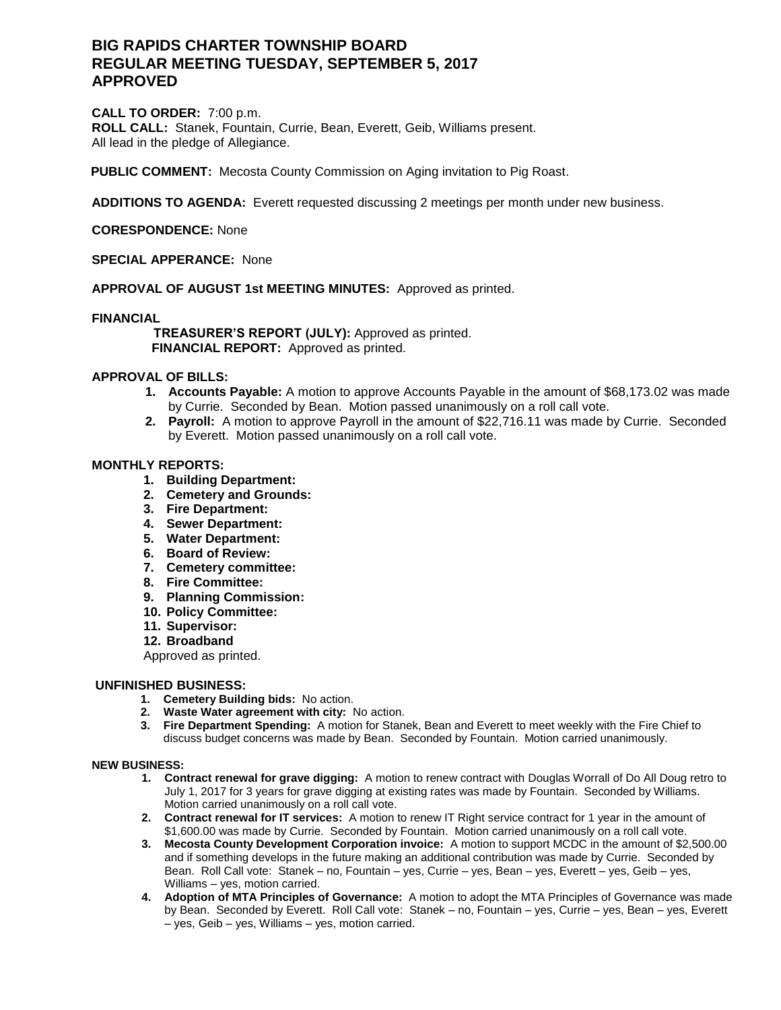# **BIG RAPIDS CHARTER TOWNSHIP BOARD REGULAR MEETING TUESDAY, SEPTEMBER 5, 2017 APPROVED**

**CALL TO ORDER:** 7:00 p.m. **ROLL CALL:** Stanek, Fountain, Currie, Bean, Everett, Geib, Williams present. All lead in the pledge of Allegiance.

**PUBLIC COMMENT:** Mecosta County Commission on Aging invitation to Pig Roast.

**ADDITIONS TO AGENDA:** Everett requested discussing 2 meetings per month under new business.

## **CORESPONDENCE:** None

## **SPECIAL APPERANCE:** None

## **APPROVAL OF AUGUST 1st MEETING MINUTES:** Approved as printed.

### **FINANCIAL**

 **TREASURER'S REPORT (JULY):** Approved as printed.  **FINANCIAL REPORT:** Approved as printed.

### **APPROVAL OF BILLS:**

- **1. Accounts Payable:** A motion to approve Accounts Payable in the amount of \$68,173.02 was made by Currie. Seconded by Bean. Motion passed unanimously on a roll call vote.
- **2. Payroll:** A motion to approve Payroll in the amount of \$22,716.11 was made by Currie. Seconded by Everett. Motion passed unanimously on a roll call vote.

### **MONTHLY REPORTS:**

- **1. Building Department:**
- **2. Cemetery and Grounds:**
- **3. Fire Department:**
- **4. Sewer Department:**
- **5. Water Department:**
- **6. Board of Review:**
- **7. Cemetery committee:**
- **8. Fire Committee:**
- **9. Planning Commission:**
- **10. Policy Committee:**
- **11. Supervisor:**
- **12. Broadband**

Approved as printed.

### **UNFINISHED BUSINESS:**

- **1. Cemetery Building bids:** No action.
- **2. Waste Water agreement with city:** No action.
- **3. Fire Department Spending:** A motion for Stanek, Bean and Everett to meet weekly with the Fire Chief to discuss budget concerns was made by Bean. Seconded by Fountain. Motion carried unanimously.

#### **NEW BUSINESS:**

- **1. Contract renewal for grave digging:** A motion to renew contract with Douglas Worrall of Do All Doug retro to July 1, 2017 for 3 years for grave digging at existing rates was made by Fountain. Seconded by Williams. Motion carried unanimously on a roll call vote.
- **2. Contract renewal for IT services:** A motion to renew IT Right service contract for 1 year in the amount of \$1,600.00 was made by Currie. Seconded by Fountain. Motion carried unanimously on a roll call vote.
- **3. Mecosta County Development Corporation invoice:** A motion to support MCDC in the amount of \$2,500.00 and if something develops in the future making an additional contribution was made by Currie. Seconded by Bean. Roll Call vote: Stanek – no, Fountain – yes, Currie – yes, Bean – yes, Everett – yes, Geib – yes, Williams – yes, motion carried.
- **4. Adoption of MTA Principles of Governance:** A motion to adopt the MTA Principles of Governance was made by Bean. Seconded by Everett. Roll Call vote: Stanek – no, Fountain – yes, Currie – yes, Bean – yes, Everett – yes, Geib – yes, Williams – yes, motion carried.